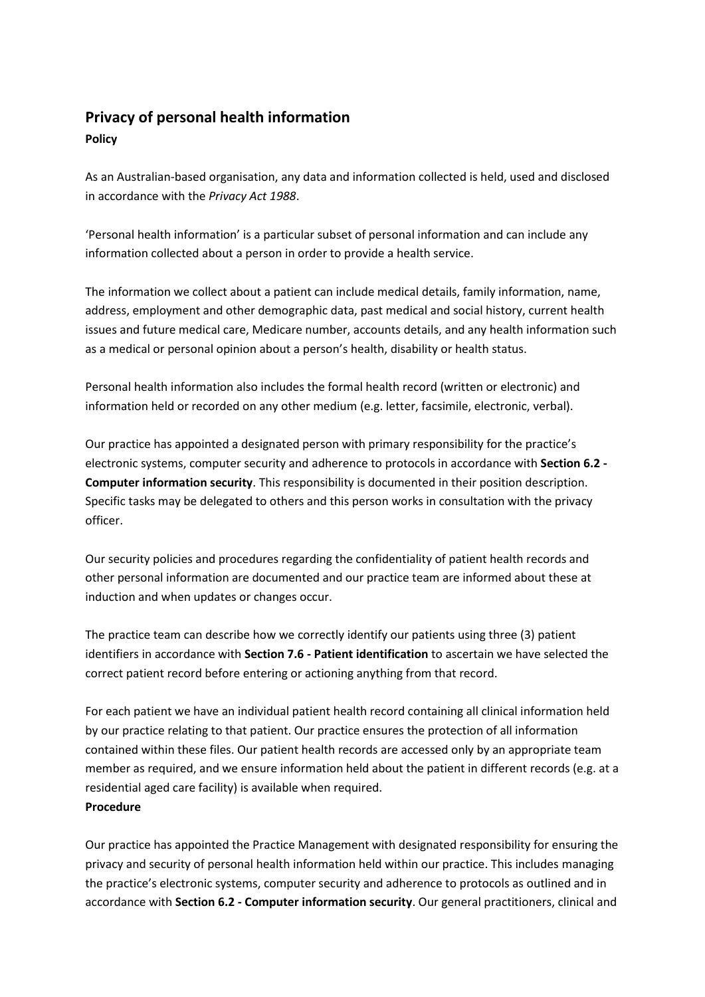# **Privacy of personal health information**

## **Policy**

As an Australian-based organisation, any data and information collected is held, used and disclosed in accordance with the *Privacy Act 1988*.

'Personal health information' is a particular subset of personal information and can include any information collected about a person in order to provide a health service.

The information we collect about a patient can include medical details, family information, name, address, employment and other demographic data, past medical and social history, current health issues and future medical care, Medicare number, accounts details, and any health information such as a medical or personal opinion about a person's health, disability or health status.

Personal health information also includes the formal health record (written or electronic) and information held or recorded on any other medium (e.g. letter, facsimile, electronic, verbal).

Our practice has appointed a designated person with primary responsibility for the practice's electronic systems, computer security and adherence to protocols in accordance with **Section 6.2 - Computer information security**. This responsibility is documented in their position description. Specific tasks may be delegated to others and this person works in consultation with the privacy officer.

Our security policies and procedures regarding the confidentiality of patient health records and other personal information are documented and our practice team are informed about these at induction and when updates or changes occur.

The practice team can describe how we correctly identify our patients using three (3) patient identifiers in accordance with **Section 7.6 - Patient identification** to ascertain we have selected the correct patient record before entering or actioning anything from that record.

For each patient we have an individual patient health record containing all clinical information held by our practice relating to that patient. Our practice ensures the protection of all information contained within these files. Our patient health records are accessed only by an appropriate team member as required, and we ensure information held about the patient in different records (e.g. at a residential aged care facility) is available when required.

## **Procedure**

Our practice has appointed the Practice Management with designated responsibility for ensuring the privacy and security of personal health information held within our practice. This includes managing the practice's electronic systems, computer security and adherence to protocols as outlined and in accordance with **Section 6.2 - Computer information security**. Our general practitioners, clinical and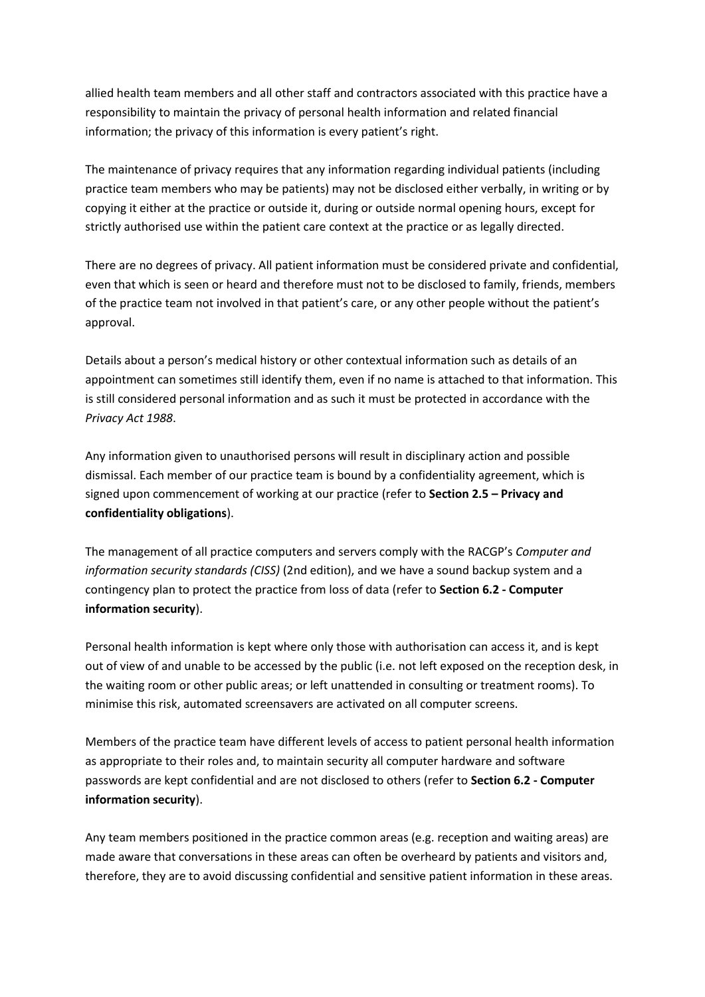allied health team members and all other staff and contractors associated with this practice have a responsibility to maintain the privacy of personal health information and related financial information; the privacy of this information is every patient's right.

The maintenance of privacy requires that any information regarding individual patients (including practice team members who may be patients) may not be disclosed either verbally, in writing or by copying it either at the practice or outside it, during or outside normal opening hours, except for strictly authorised use within the patient care context at the practice or as legally directed.

There are no degrees of privacy. All patient information must be considered private and confidential, even that which is seen or heard and therefore must not to be disclosed to family, friends, members of the practice team not involved in that patient's care, or any other people without the patient's approval.

Details about a person's medical history or other contextual information such as details of an appointment can sometimes still identify them, even if no name is attached to that information. This is still considered personal information and as such it must be protected in accordance with the *Privacy Act 1988*.

Any information given to unauthorised persons will result in disciplinary action and possible dismissal. Each member of our practice team is bound by a confidentiality agreement, which is signed upon commencement of working at our practice (refer to **Section 2.5 – Privacy and confidentiality obligations**).

The management of all practice computers and servers comply with the RACGP's *Computer and information security standards (CISS)* (2nd edition), and we have a sound backup system and a contingency plan to protect the practice from loss of data (refer to **Section 6.2 - Computer information security**).

Personal health information is kept where only those with authorisation can access it, and is kept out of view of and unable to be accessed by the public (i.e. not left exposed on the reception desk, in the waiting room or other public areas; or left unattended in consulting or treatment rooms). To minimise this risk, automated screensavers are activated on all computer screens.

Members of the practice team have different levels of access to patient personal health information as appropriate to their roles and, to maintain security all computer hardware and software passwords are kept confidential and are not disclosed to others (refer to **Section 6.2 - Computer information security**).

Any team members positioned in the practice common areas (e.g. reception and waiting areas) are made aware that conversations in these areas can often be overheard by patients and visitors and, therefore, they are to avoid discussing confidential and sensitive patient information in these areas.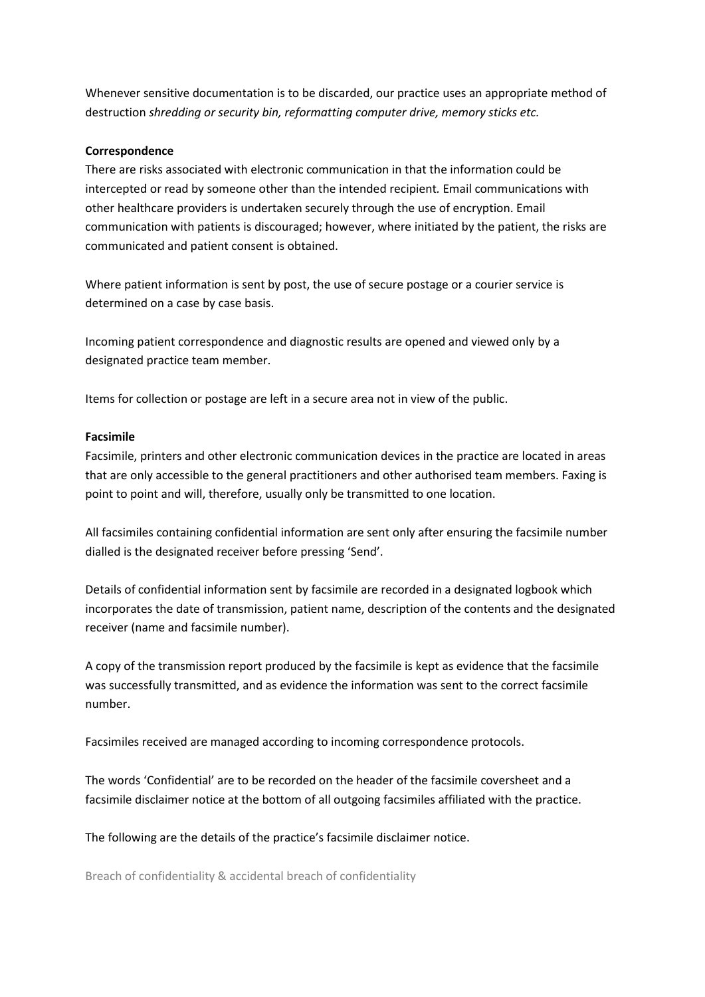Whenever sensitive documentation is to be discarded, our practice uses an appropriate method of destruction *shredding or security bin, reformatting computer drive, memory sticks etc.*

#### **Correspondence**

There are risks associated with electronic communication in that the information could be intercepted or read by someone other than the intended recipient*.* Email communications with other healthcare providers is undertaken securely through the use of encryption. Email communication with patients is discouraged; however, where initiated by the patient, the risks are communicated and patient consent is obtained.

Where patient information is sent by post, the use of secure postage or a courier service is determined on a case by case basis.

Incoming patient correspondence and diagnostic results are opened and viewed only by a designated practice team member.

Items for collection or postage are left in a secure area not in view of the public.

### **Facsimile**

Facsimile, printers and other electronic communication devices in the practice are located in areas that are only accessible to the general practitioners and other authorised team members. Faxing is point to point and will, therefore, usually only be transmitted to one location.

All facsimiles containing confidential information are sent only after ensuring the facsimile number dialled is the designated receiver before pressing 'Send'.

Details of confidential information sent by facsimile are recorded in a designated logbook which incorporates the date of transmission, patient name, description of the contents and the designated receiver (name and facsimile number).

A copy of the transmission report produced by the facsimile is kept as evidence that the facsimile was successfully transmitted, and as evidence the information was sent to the correct facsimile number.

Facsimiles received are managed according to incoming correspondence protocols.

The words 'Confidential' are to be recorded on the header of the facsimile coversheet and a facsimile disclaimer notice at the bottom of all outgoing facsimiles affiliated with the practice.

The following are the details of the practice's facsimile disclaimer notice.

Breach of confidentiality & accidental breach of confidentiality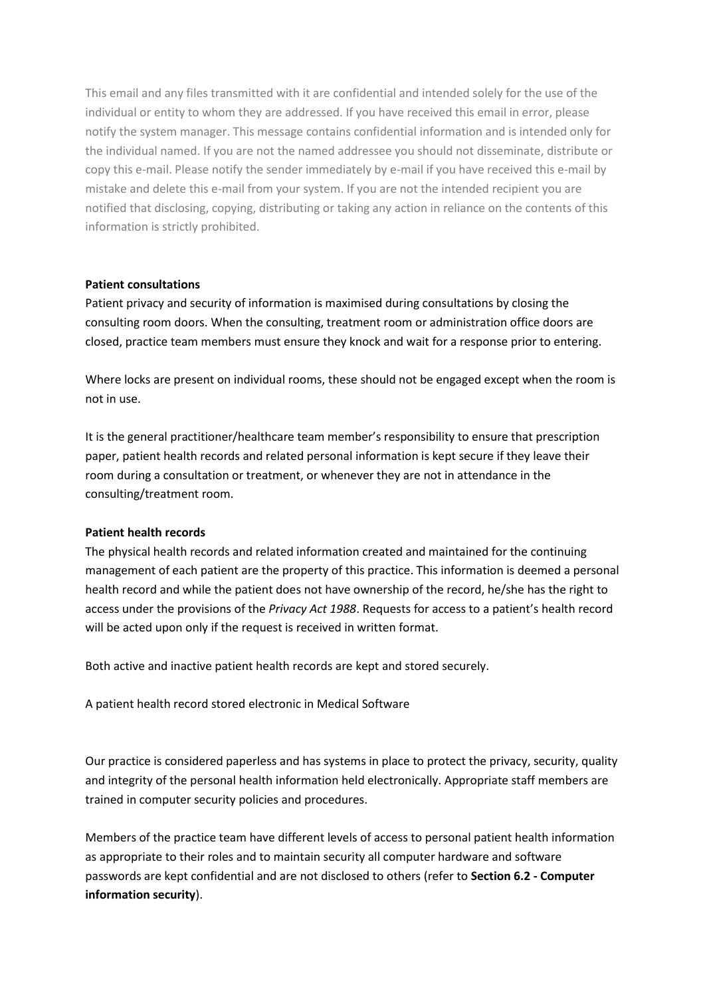This email and any files transmitted with it are confidential and intended solely for the use of the individual or entity to whom they are addressed. If you have received this email in error, please notify the system manager. This message contains confidential information and is intended only for the individual named. If you are not the named addressee you should not disseminate, distribute or copy this e-mail. Please notify the sender immediately by e-mail if you have received this e-mail by mistake and delete this e-mail from your system. If you are not the intended recipient you are notified that disclosing, copying, distributing or taking any action in reliance on the contents of this information is strictly prohibited.

#### **Patient consultations**

Patient privacy and security of information is maximised during consultations by closing the consulting room doors. When the consulting, treatment room or administration office doors are closed, practice team members must ensure they knock and wait for a response prior to entering.

Where locks are present on individual rooms, these should not be engaged except when the room is not in use.

It is the general practitioner/healthcare team member's responsibility to ensure that prescription paper, patient health records and related personal information is kept secure if they leave their room during a consultation or treatment, or whenever they are not in attendance in the consulting/treatment room.

#### **Patient health records**

The physical health records and related information created and maintained for the continuing management of each patient are the property of this practice. This information is deemed a personal health record and while the patient does not have ownership of the record, he/she has the right to access under the provisions of the *Privacy Act 1988*. Requests for access to a patient's health record will be acted upon only if the request is received in written format.

Both active and inactive patient health records are kept and stored securely.

A patient health record stored electronic in Medical Software

Our practice is considered paperless and has systems in place to protect the privacy, security, quality and integrity of the personal health information held electronically. Appropriate staff members are trained in computer security policies and procedures.

Members of the practice team have different levels of access to personal patient health information as appropriate to their roles and to maintain security all computer hardware and software passwords are kept confidential and are not disclosed to others (refer to **Section 6.2 - Computer information security**).